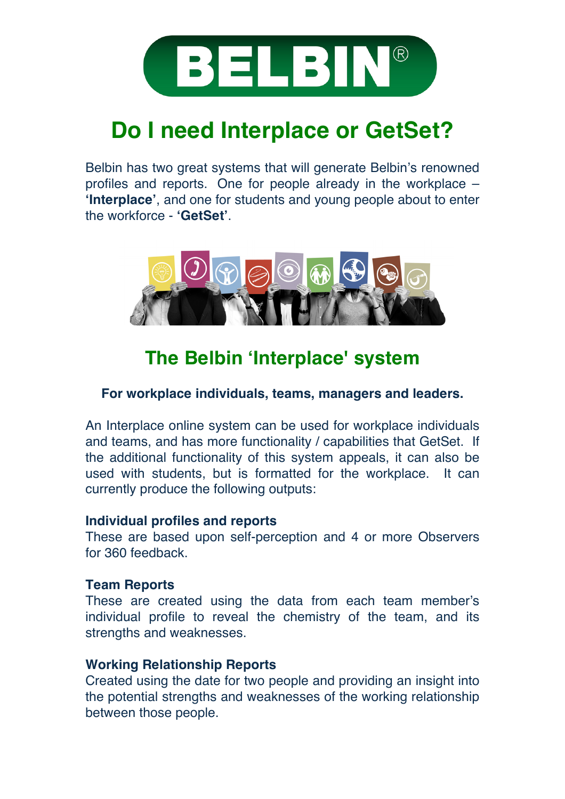

# **Do I need Interplace or GetSet?**

Belbin has two great systems that will generate Belbin's renowned profiles and reports. One for people already in the workplace – **'Interplace'**, and one for students and young people about to enter the workforce - **'GetSet'**.



# **The Belbin 'Interplace' system**

### **For workplace individuals, teams, managers and leaders.**

An Interplace online system can be used for workplace individuals and teams, and has more functionality / capabilities that GetSet. If the additional functionality of this system appeals, it can also be used with students, but is formatted for the workplace. It can currently produce the following outputs:

#### **Individual profiles and reports**

These are based upon self-perception and 4 or more Observers for 360 feedback.

#### **Team Reports**

These are created using the data from each team member's individual profile to reveal the chemistry of the team, and its strengths and weaknesses.

### **Working Relationship Reports**

Created using the date for two people and providing an insight into the potential strengths and weaknesses of the working relationship between those people.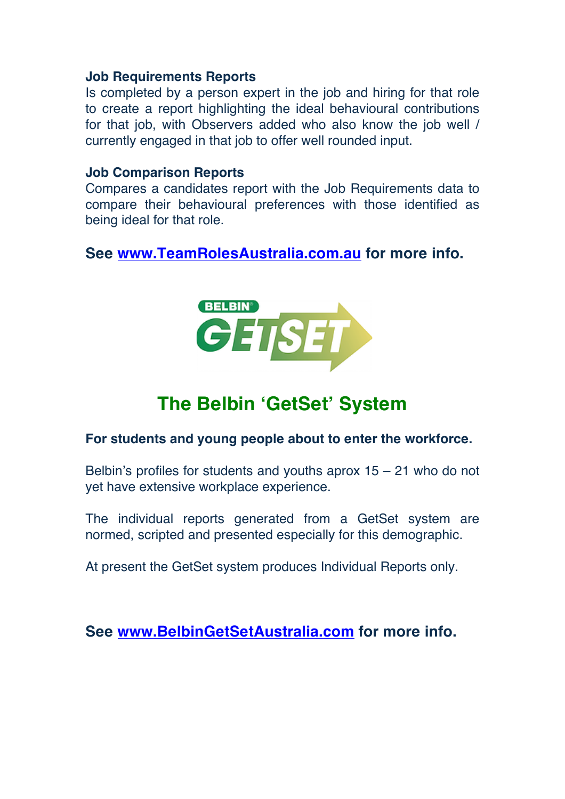#### **Job Requirements Reports**

Is completed by a person expert in the job and hiring for that role to create a report highlighting the ideal behavioural contributions for that job, with Observers added who also know the job well / currently engaged in that job to offer well rounded input.

#### **Job Comparison Reports**

Compares a candidates report with the Job Requirements data to compare their behavioural preferences with those identified as being ideal for that role.

**See www.TeamRolesAustralia.com.au for more info.**



# **The Belbin 'GetSet' System**

#### **For students and young people about to enter the workforce.**

Belbin's profiles for students and youths aprox  $15 - 21$  who do not yet have extensive workplace experience.

The individual reports generated from a GetSet system are normed, scripted and presented especially for this demographic.

At present the GetSet system produces Individual Reports only.

**See www.BelbinGetSetAustralia.com for more info.**